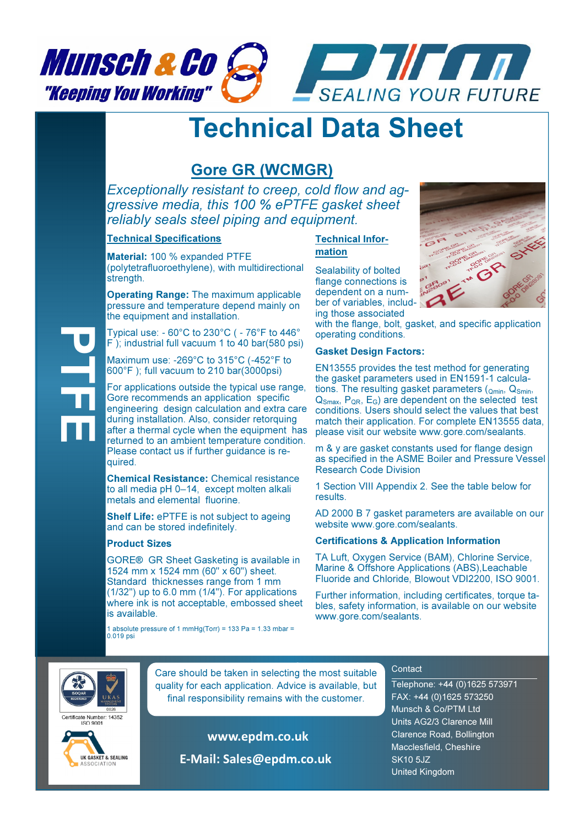

## Technical Data Sheet

### Gore GR (WCMGR)

Exceptionally resistant to creep, cold flow and aggressive media, this 100 % ePTFE gasket sheet reliably seals steel piping and equipment.

#### Technical Specifications

Material: 100 % expanded PTFE (polytetrafluoroethylene), with multidirectional strength.

Operating Range: The maximum applicable pressure and temperature depend mainly on the equipment and installation.

Typical use: - 60°C to 230°C ( - 76°F to 446° F ); industrial full vacuum 1 to 40 bar(580 psi)

Maximum use: -269°C to 315°C (-452°F to 600°F ); full vacuum to 210 bar(3000psi)

For applications outside the typical use range, Gore recommends an application specific engineering design calculation and extra care during installation. Also, consider retorquing after a thermal cycle when the equipment has returned to an ambient temperature condition. Please contact us if further quidance is required.

Chemical Resistance: Chemical resistance to all media pH 0–14, except molten alkali metals and elemental fluorine.

Shelf Life: ePTFE is not subject to ageing and can be stored indefinitely.

#### Product Sizes

GORE® GR Sheet Gasketing is available in 1524 mm x 1524 mm (60" x 60") sheet. Standard thicknesses range from 1 mm (1/32") up to 6.0 mm (1/4"). For applications where ink is not acceptable, embossed sheet is available.

1 absolute pressure of 1 mmHg(Torr) = 133 Pa = 1.33 mbar = 0.019 psi

#### Technical Information

Sealability of bolted flange connections is dependent on a number of variables, including those associated

with the flange, bolt, gasket, and specific application operating conditions.

#### Gasket Design Factors:

EN13555 provides the test method for generating the gasket parameters used in EN1591-1 calculations. The resulting gasket parameters  $(Q_{min}, Q_{Smin})$ Q<sub>Smax</sub>, P<sub>QR</sub>, E<sub>G</sub>) are dependent on the selected test conditions. Users should select the values that best match their application. For complete EN13555 data, please visit our website www.gore.com/sealants.

m & y are gasket constants used for flange design as specified in the ASME Boiler and Pressure Vessel Research Code Division

1 Section VIII Appendix 2. See the table below for results.

AD 2000 B 7 gasket parameters are available on our website www.gore.com/sealants.

#### Certifications & Application Information

TA Luft, Oxygen Service (BAM), Chlorine Service, Marine & Offshore Applications (ABS),Leachable Fluoride and Chloride, Blowout VDI2200, ISO 9001.

Further information, including certificates, torque tables, safety information, is available on our website www.gore.com/sealants.



PTFE

**Care should be taken in selecting the most suitable** quality for each application. Advice is available, but final responsibility remains with the customer.

rtificate Number: 14352  $150.9001$ 



 www.epdm.co.uk E-Mail: Sales@epdm.co.uk

#### **Contact**

Telephone: +44 (0)1625 573971 FAX: +44 (0)1625 573250 Munsch & Co/PTM Ltd Units AG2/3 Clarence Mill Clarence Road, Bollington Macclesfield, Cheshire SK10 5JZ United Kingdom